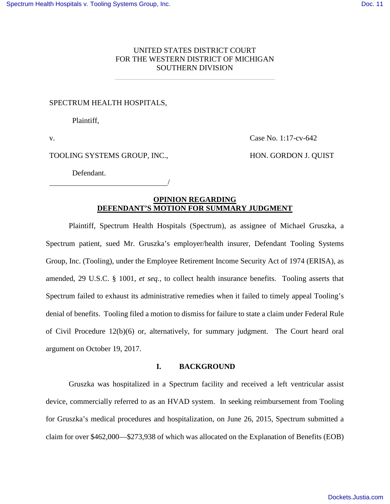## UNITED STATES DISTRICT COURT FOR THE WESTERN DISTRICT OF MICHIGAN SOUTHERN DIVISION

#### SPECTRUM HEALTH HOSPITALS,

Plaintiff,

v.

Case No. 1:17-cv-642

#### TOOLING SYSTEMS GROUP, INC.,

/

HON. GORDON J. QUIST

Defendant.

# **OPINION REGARDING DEFENDANT'S MOTION FOR SUMMARY JUDGMENT**

Plaintiff, Spectrum Health Hospitals (Spectrum), as assignee of Michael Gruszka, a Spectrum patient, sued Mr. Gruszka's employer/health insurer, Defendant Tooling Systems Group, Inc. (Tooling), under the Employee Retirement Income Security Act of 1974 (ERISA), as amended, 29 U.S.C. § 1001, *et seq.*, to collect health insurance benefits. Tooling asserts that Spectrum failed to exhaust its administrative remedies when it failed to timely appeal Tooling's denial of benefits. Tooling filed a motion to dismiss for failure to state a claim under Federal Rule of Civil Procedure 12(b)(6) or, alternatively, for summary judgment. The Court heard oral argument on October 19, 2017.

#### **I. BACKGROUND**

Gruszka was hospitalized in a Spectrum facility and received a left ventricular assist device, commercially referred to as an HVAD system. In seeking reimbursement from Tooling for Gruszka's medical procedures and hospitalization, on June 26, 2015, Spectrum submitted a claim for over \$462,000—\$273,938 of which was allocated on the Explanation of Benefits (EOB)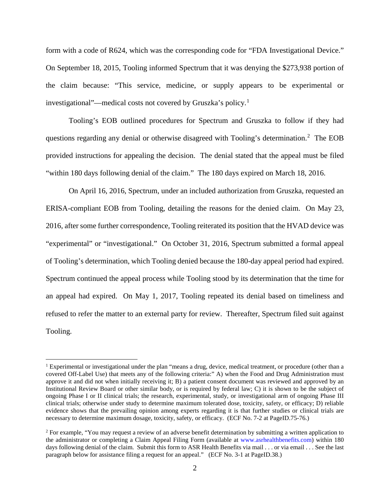form with a code of R624, which was the corresponding code for "FDA Investigational Device." On September 18, 2015, Tooling informed Spectrum that it was denying the \$273,938 portion of the claim because: "This service, medicine, or supply appears to be experimental or investigational"—medical costs not covered by Gruszka's policy.[1](#page-1-0)

 Tooling's EOB outlined procedures for Spectrum and Gruszka to follow if they had questions regarding any denial or otherwise disagreed with Tooling's determination.<sup>[2](#page-1-1)</sup> The EOB provided instructions for appealing the decision. The denial stated that the appeal must be filed "within 180 days following denial of the claim." The 180 days expired on March 18, 2016.

On April 16, 2016, Spectrum, under an included authorization from Gruszka, requested an ERISA-compliant EOB from Tooling, detailing the reasons for the denied claim. On May 23, 2016, after some further correspondence, Tooling reiterated its position that the HVAD device was "experimental" or "investigational." On October 31, 2016, Spectrum submitted a formal appeal of Tooling's determination, which Tooling denied because the 180-day appeal period had expired. Spectrum continued the appeal process while Tooling stood by its determination that the time for an appeal had expired. On May 1, 2017, Tooling repeated its denial based on timeliness and refused to refer the matter to an external party for review. Thereafter, Spectrum filed suit against Tooling.

<u>.</u>

<span id="page-1-0"></span><sup>&</sup>lt;sup>1</sup> Experimental or investigational under the plan "means a drug, device, medical treatment, or procedure (other than a covered Off-Label Use) that meets any of the following criteria:" A) when the Food and Drug Administration must approve it and did not when initially receiving it; B) a patient consent document was reviewed and approved by an Institutional Review Board or other similar body, or is required by federal law; C) it is shown to be the subject of ongoing Phase I or II clinical trials; the research, experimental, study, or investigational arm of ongoing Phase III clinical trials; otherwise under study to determine maximum tolerated dose, toxicity, safety, or efficacy; D) reliable evidence shows that the prevailing opinion among experts regarding it is that further studies or clinical trials are necessary to determine maximum dosage, toxicity, safety, or efficacy. (ECF No. 7-2 at PageID.75-76.)

<span id="page-1-1"></span><sup>&</sup>lt;sup>2</sup> For example, "You may request a review of an adverse benefit determination by submitting a written application to the administrator or completing a Claim Appeal Filing Form (available at [www.asrhealthbenefits.com\)](http://www.asrhealthbenefits.com/) within 180 days following denial of the claim. Submit this form to ASR Health Benefits via mail . . . or via email . . . See the last paragraph below for assistance filing a request for an appeal." (ECF No. 3-1 at PageID.38.)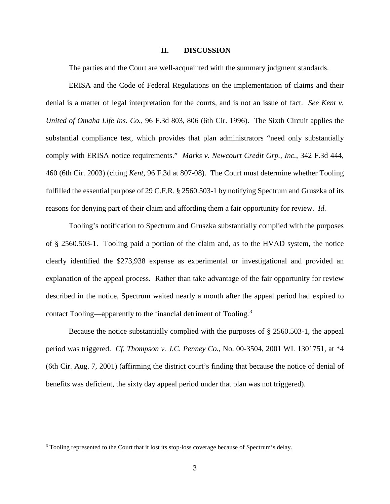### **II. DISCUSSION**

The parties and the Court are well-acquainted with the summary judgment standards.

ERISA and the Code of Federal Regulations on the implementation of claims and their denial is a matter of legal interpretation for the courts, and is not an issue of fact. *See Kent v. United of Omaha Life Ins. Co.*, 96 F.3d 803, 806 (6th Cir. 1996). The Sixth Circuit applies the substantial compliance test, which provides that plan administrators "need only substantially comply with ERISA notice requirements." *Marks v. Newcourt Credit Grp., Inc.*, 342 F.3d 444, 460 (6th Cir. 2003) (citing *Kent*, 96 F.3d at 807-08). The Court must determine whether Tooling fulfilled the essential purpose of 29 C.F.R. § 2560.503-1 by notifying Spectrum and Gruszka of its reasons for denying part of their claim and affording them a fair opportunity for review. *Id.*

Tooling's notification to Spectrum and Gruszka substantially complied with the purposes of § 2560.503-1. Tooling paid a portion of the claim and, as to the HVAD system, the notice clearly identified the \$273,938 expense as experimental or investigational and provided an explanation of the appeal process. Rather than take advantage of the fair opportunity for review described in the notice, Spectrum waited nearly a month after the appeal period had expired to contact Tooling—apparently to the financial detriment of Tooling.<sup>[3](#page-3-0)</sup>

Because the notice substantially complied with the purposes of § 2560.503-1, the appeal period was triggered. *Cf. Thompson v. J.C. Penney Co.*, No. 00-3504, 2001 WL 1301751, at \*4 (6th Cir. Aug. 7, 2001) (affirming the district court's finding that because the notice of denial of benefits was deficient, the sixty day appeal period under that plan was not triggered).

 $\overline{a}$ 

<sup>&</sup>lt;sup>3</sup> Tooling represented to the Court that it lost its stop-loss coverage because of Spectrum's delay.